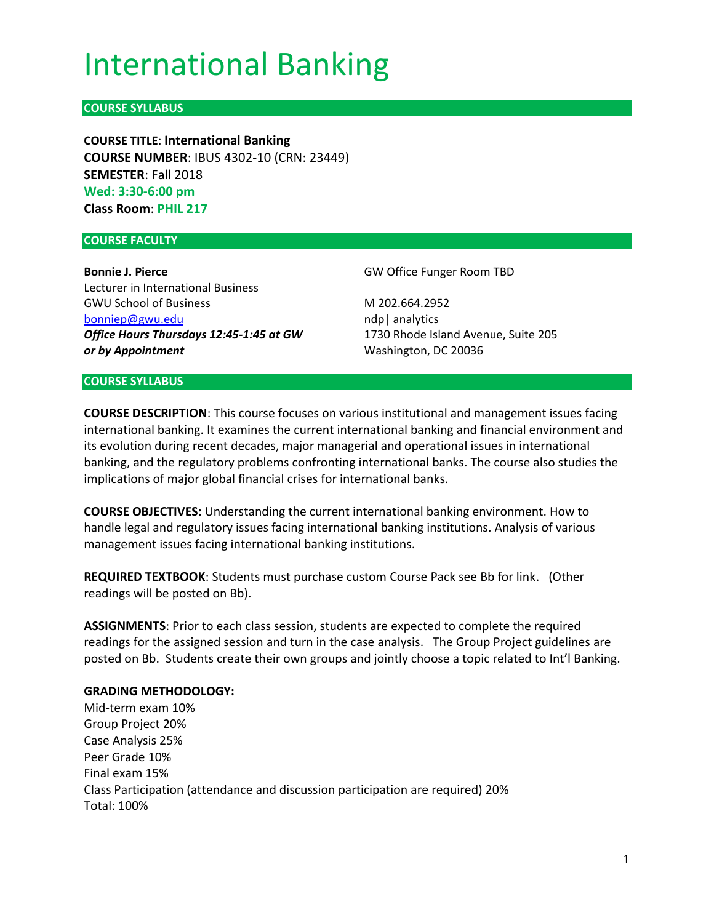# International Banking

# **COURSE SYLLABUS**

**COURSE TITLE**: **International Banking COURSE NUMBER**: IBUS 4302-10 (CRN: 23449) **SEMESTER**: Fall 2018 **Wed: 3:30-6:00 pm Class Room**: **PHIL 217**

#### **COURSE FACULTY**

**Bonnie J. Pierce** Lecturer in International Business GWU School of Business [bonniep@gwu.edu](mailto:bonniep@gwu.edu) *Office Hours Thursdays 12:45-1:45 at GW or by Appointment*

GW Office Funger Room TBD

M 202.664.2952 ndp| analytics 1730 Rhode Island Avenue, Suite 205 Washington, DC 20036

#### **COURSE SYLLABUS**

**COURSE DESCRIPTION**: This course focuses on various institutional and management issues facing international banking. It examines the current international banking and financial environment and its evolution during recent decades, major managerial and operational issues in international banking, and the regulatory problems confronting international banks. The course also studies the implications of major global financial crises for international banks.

**COURSE OBJECTIVES:** Understanding the current international banking environment. How to handle legal and regulatory issues facing international banking institutions. Analysis of various management issues facing international banking institutions.

**REQUIRED TEXTBOOK**: Students must purchase custom Course Pack see Bb for link. (Other readings will be posted on Bb).

**ASSIGNMENTS**: Prior to each class session, students are expected to complete the required readings for the assigned session and turn in the case analysis. The Group Project guidelines are posted on Bb. Students create their own groups and jointly choose a topic related to Int'l Banking.

#### **GRADING METHODOLOGY:**

Mid-term exam 10% Group Project 20% Case Analysis 25% Peer Grade 10% Final exam 15% Class Participation (attendance and discussion participation are required) 20% Total: 100%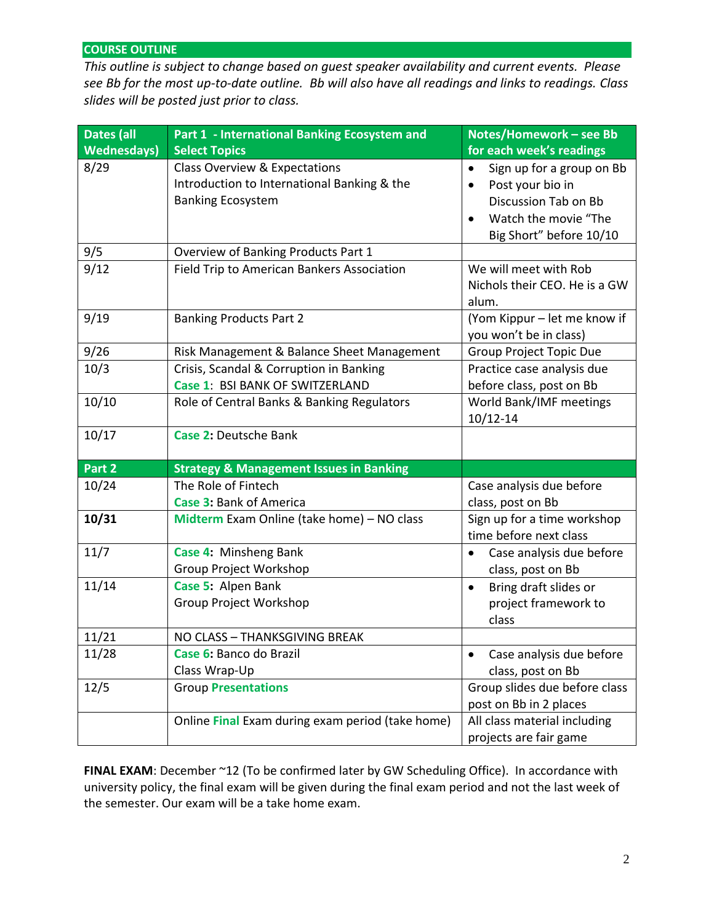## **COURSE OUTLINE**

*This outline is subject to change based on guest speaker availability and current events. Please see Bb for the most up-to-date outline. Bb will also have all readings and links to readings. Class slides will be posted just prior to class.*

| <b>Dates (all</b>  | <b>Part 1 - International Banking Ecosystem and</b> | Notes/Homework - see Bb                |
|--------------------|-----------------------------------------------------|----------------------------------------|
| <b>Wednesdays)</b> | <b>Select Topics</b>                                | for each week's readings               |
| 8/29               | <b>Class Overview &amp; Expectations</b>            | Sign up for a group on Bb<br>$\bullet$ |
|                    | Introduction to International Banking & the         | Post your bio in<br>$\bullet$          |
|                    | <b>Banking Ecosystem</b>                            | Discussion Tab on Bb                   |
|                    |                                                     | Watch the movie "The                   |
|                    |                                                     | Big Short" before 10/10                |
| 9/5                | Overview of Banking Products Part 1                 |                                        |
| 9/12               | Field Trip to American Bankers Association          | We will meet with Rob                  |
|                    |                                                     | Nichols their CEO. He is a GW          |
|                    |                                                     | alum.                                  |
| 9/19               | <b>Banking Products Part 2</b>                      | (Yom Kippur - let me know if           |
|                    |                                                     | you won't be in class)                 |
| 9/26               | Risk Management & Balance Sheet Management          | Group Project Topic Due                |
| 10/3               | Crisis, Scandal & Corruption in Banking             | Practice case analysis due             |
|                    | Case 1: BSI BANK OF SWITZERLAND                     | before class, post on Bb               |
| 10/10              | Role of Central Banks & Banking Regulators          | World Bank/IMF meetings                |
|                    |                                                     | $10/12 - 14$                           |
| 10/17              | <b>Case 2: Deutsche Bank</b>                        |                                        |
|                    |                                                     |                                        |
| Part 2             | <b>Strategy &amp; Management Issues in Banking</b>  |                                        |
| 10/24              | The Role of Fintech                                 | Case analysis due before               |
|                    | <b>Case 3: Bank of America</b>                      | class, post on Bb                      |
| 10/31              | Midterm Exam Online (take home) - NO class          | Sign up for a time workshop            |
|                    |                                                     | time before next class                 |
| 11/7               | Case 4: Minsheng Bank                               | Case analysis due before<br>$\bullet$  |
|                    | Group Project Workshop                              | class, post on Bb                      |
| 11/14              | Case 5: Alpen Bank                                  | Bring draft slides or<br>$\bullet$     |
|                    | <b>Group Project Workshop</b>                       | project framework to                   |
|                    |                                                     | class                                  |
| 11/21              | NO CLASS - THANKSGIVING BREAK                       |                                        |
| 11/28              | Case 6: Banco do Brazil                             | Case analysis due before<br>$\bullet$  |
|                    | Class Wrap-Up                                       | class, post on Bb                      |
| 12/5               | <b>Group Presentations</b>                          | Group slides due before class          |
|                    |                                                     | post on Bb in 2 places                 |
|                    | Online Final Exam during exam period (take home)    | All class material including           |
|                    |                                                     | projects are fair game                 |

FINAL EXAM: December ~12 (To be confirmed later by GW Scheduling Office). In accordance with university policy, the final exam will be given during the final exam period and not the last week of the semester. Our exam will be a take home exam.